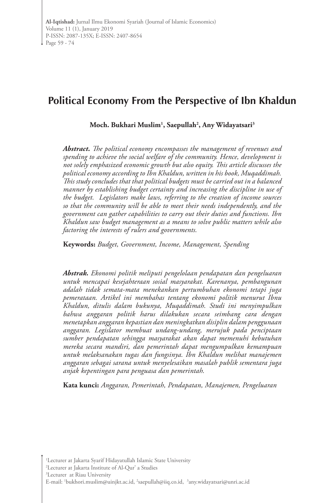# **Political Economy From the Perspective of Ibn Khaldun**

**Moch. Bukhari Muslim1 , Saepullah2 , Any Widayatsari3**

*Abstract. The political economy encompasses the management of revenues and spending to achieve the social welfare of the community. Hence, development is not solely emphasized economic growth but also equity. This article discusses the political economy according to Ibn Khaldun, written in his book, Muqaddimah. This study concludes that that political budgets must be carried out in a balanced manner by establishing budget certainty and increasing the discipline in use of the budget. Legislators make laws, referring to the creation of income sources so that the community will be able to meet their needs independently, and the government can gather capabilities to carry out their duties and functions. Ibn Khaldun saw budget management as a means to solve public matters while also factoring the interests of rulers and governments.*

**Keywords:** *Budget, Government, Income, Management, Spending*

*Abstrak. Ekonomi politik meliputi pengelolaan pendapatan dan pengeluaran untuk mencapai kesejahteraan sosial masyarakat. Karenanya, pembangunan adalah tidak semata-mata menekankan pertumbuhan ekonomi tetapi juga pemerataan. Artikel ini membahas tentang ekonomi politik menurut Ibnu Khaldun, ditulis dalam bukunya, Muqaddimah. Studi ini menyimpulkan bahwa anggaran politik harus dilakukan secara seimbang cara dengan menetapkan anggaran kepastian dan meningkatkan disiplin dalam penggunaan anggaran. Legislator membuat undang-undang, merujuk pada penciptaan sumber pendapatan sehingga masyarakat akan dapat memenuhi kebutuhan mereka secara mandiri, dan pemerintah dapat mengumpulkan kemampuan untuk melaksanakan tugas dan fungsinya. Ibn Khaldun melihat manajemen anggaran sebagai sarana untuk menyelesaikan masalah publik sementara juga anjak kepentingan para penguasa dan pemerintah.*

**Kata kunci:** *Anggaran, Pemerintah, Pendapatan, Manajemen, Pengeluaran*

3 Lecturer at Riau University

<sup>2</sup> Lecturer at Jakarta Institute of Al-Qur' a Studies

E-mail: 'bukhori.muslim@uinjkt.ac.id, <sup>2</sup>saepullah@iiq.co.id, <sup>3</sup>any.widayatsari@unri.ac.id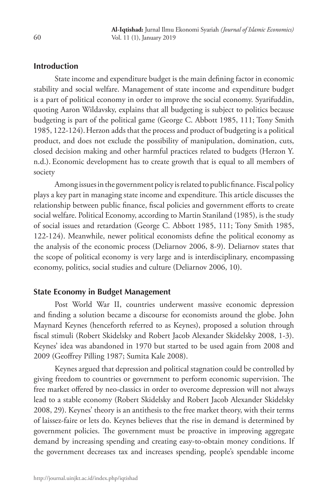## **Introduction**

State income and expenditure budget is the main defining factor in economic stability and social welfare. Management of state income and expenditure budget is a part of political economy in order to improve the social economy. Syarifuddin, quoting Aaron Wildavsky, explains that all budgeting is subject to politics because budgeting is part of the political game (George C. Abbott 1985, 111; Tony Smith 1985, 122-124).Herzon adds that the process and product of budgeting is a political product, and does not exclude the possibility of manipulation, domination, cuts, closed decision making and other harmful practices related to budgets (Herzon Y. n.d.). Economic development has to create growth that is equal to all members of society

Among issues in the government policy is related to public finance. Fiscal policy plays a key part in managing state income and expenditure. This article discusses the relationship between public finance, fiscal policies and government efforts to create social welfare. Political Economy, according to Martin Staniland (1985), is the study of social issues and retardation (George C. Abbott 1985, 111; Tony Smith 1985, 122-124). Meanwhile, newer political economists define the political economy as the analysis of the economic process (Deliarnov 2006, 8-9). Deliarnov states that the scope of political economy is very large and is interdisciplinary, encompassing economy, politics, social studies and culture (Deliarnov 2006, 10).

#### **State Economy in Budget Management**

Post World War II, countries underwent massive economic depression and finding a solution became a discourse for economists around the globe. John Maynard Keynes (henceforth referred to as Keynes), proposed a solution through fiscal stimuli (Robert Skidelsky and Robert Jacob Alexander Skidelsky 2008, 1-3). Keynes' idea was abandoned in 1970 but started to be used again from 2008 and 2009 (Geoffrey Pilling 1987; Sumita Kale 2008).

Keynes argued that depression and political stagnation could be controlled by giving freedom to countries or government to perform economic supervision. The free market offered by neo-classics in order to overcome depression will not always lead to a stable economy (Robert Skidelsky and Robert Jacob Alexander Skidelsky 2008, 29). Keynes' theory is an antithesis to the free market theory, with their terms of laissez-faire or lets do. Keynes believes that the rise in demand is determined by government policies. The government must be proactive in improving aggregate demand by increasing spending and creating easy-to-obtain money conditions. If the government decreases tax and increases spending, people's spendable income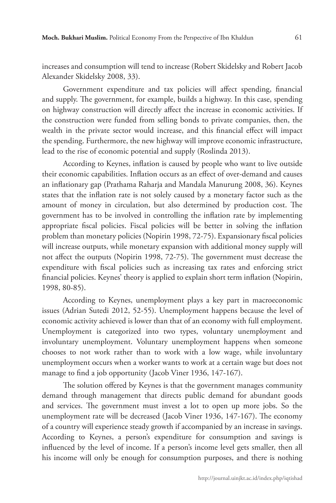increases and consumption will tend to increase (Robert Skidelsky and Robert Jacob Alexander Skidelsky 2008, 33).

Government expenditure and tax policies will affect spending, financial and supply. The government, for example, builds a highway. In this case, spending on highway construction will directly affect the increase in economic activities. If the construction were funded from selling bonds to private companies, then, the wealth in the private sector would increase, and this financial effect will impact the spending. Furthermore, the new highway will improve economic infrastructure, lead to the rise of economic potential and supply (Roslinda 2013).

According to Keynes, inflation is caused by people who want to live outside their economic capabilities. Inflation occurs as an effect of over-demand and causes an inflationary gap (Prathama Raharja and Mandala Manurung 2008, 36). Keynes states that the inflation rate is not solely caused by a monetary factor such as the amount of money in circulation, but also determined by production cost. The government has to be involved in controlling the inflation rate by implementing appropriate fiscal policies. Fiscal policies will be better in solving the inflation problem than monetary policies (Nopirin 1998, 72-75). Expansionary fiscal policies will increase outputs, while monetary expansion with additional money supply will not affect the outputs (Nopirin 1998, 72-75). The government must decrease the expenditure with fiscal policies such as increasing tax rates and enforcing strict financial policies. Keynes' theory is applied to explain short term inflation (Nopirin, 1998, 80-85).

According to Keynes, unemployment plays a key part in macroeconomic issues (Adrian Sutedi 2012, 52-55). Unemployment happens because the level of economic activity achieved is lower than that of an economy with full employment. Unemployment is categorized into two types, voluntary unemployment and involuntary unemployment. Voluntary unemployment happens when someone chooses to not work rather than to work with a low wage, while involuntary unemployment occurs when a worker wants to work at a certain wage but does not manage to find a job opportunity (Jacob Viner 1936, 147-167).

The solution offered by Keynes is that the government manages community demand through management that directs public demand for abundant goods and services. The government must invest a lot to open up more jobs. So the unemployment rate will be decreased (Jacob Viner 1936, 147-167). The economy of a country will experience steady growth if accompanied by an increase in savings. According to Keynes, a person's expenditure for consumption and savings is influenced by the level of income. If a person's income level gets smaller, then all his income will only be enough for consumption purposes, and there is nothing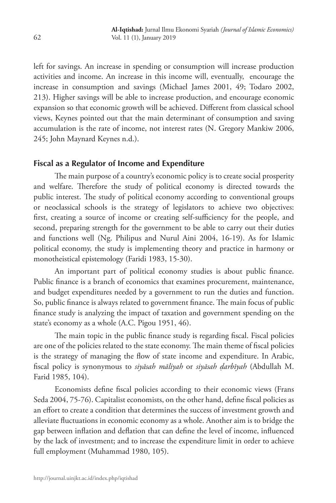left for savings. An increase in spending or consumption will increase production activities and income. An increase in this income will, eventually, encourage the increase in consumption and savings (Michael James 2001, 49; Todaro 2002, 213). Higher savings will be able to increase production, and encourage economic expansion so that economic growth will be achieved. Different from classical school views, Keynes pointed out that the main determinant of consumption and saving accumulation is the rate of income, not interest rates (N. Gregory Mankiw 2006, 245; John Maynard Keynes n.d.).

## **Fiscal as a Regulator of Income and Expenditure**

The main purpose of a country's economic policy is to create social prosperity and welfare. Therefore the study of political economy is directed towards the public interest. The study of political economy according to conventional groups or neoclassical schools is the strategy of legislators to achieve two objectives: first, creating a source of income or creating self-sufficiency for the people, and second, preparing strength for the government to be able to carry out their duties and functions well (Ng. Philipus and Nurul Aini 2004, 16-19). As for Islamic political economy, the study is implementing theory and practice in harmony or monotheistical epistemology (Faridi 1983, 15-30).

An important part of political economy studies is about public finance. Public finance is a branch of economics that examines procurement, maintenance, and budget expenditures needed by a government to run the duties and function. So, public finance is always related to government finance. The main focus of public finance study is analyzing the impact of taxation and government spending on the state's economy as a whole (A.C. Pigou 1951, 46).

The main topic in the public finance study is regarding fiscal. Fiscal policies are one of the policies related to the state economy. The main theme of fiscal policies is the strategy of managing the flow of state income and expenditure. In Arabic, fiscal policy is synonymous to *siyāsah māliyah* or *siyāsah ḍarbīyah* (Abdullah M. Farid 1985, 104).

Economists define fiscal policies according to their economic views (Frans Seda 2004, 75-76). Capitalist economists, on the other hand, define fiscal policies as an effort to create a condition that determines the success of investment growth and alleviate fluctuations in economic economy as a whole. Another aim is to bridge the gap between inflation and deflation that can define the level of income, influenced by the lack of investment; and to increase the expenditure limit in order to achieve full employment (Muhammad 1980, 105).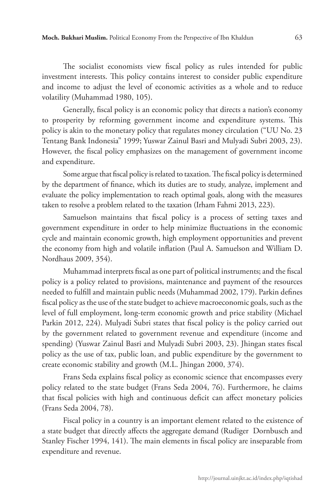The socialist economists view fiscal policy as rules intended for public investment interests. This policy contains interest to consider public expenditure and income to adjust the level of economic activities as a whole and to reduce volatility (Muhammad 1980, 105).

Generally, fiscal policy is an economic policy that directs a nation's economy to prosperity by reforming government income and expenditure systems. This policy is akin to the monetary policy that regulates money circulation ("UU No. 23 Tentang Bank Indonesia" 1999; Yuswar Zainul Basri and Mulyadi Subri 2003, 23). However, the fiscal policy emphasizes on the management of government income and expenditure.

Some argue that fiscal policy is related to taxation. The fiscal policy is determined by the department of finance, which its duties are to study, analyze, implement and evaluate the policy implementation to reach optimal goals, along with the measures taken to resolve a problem related to the taxation (Irham Fahmi 2013, 223).

Samuelson maintains that fiscal policy is a process of setting taxes and government expenditure in order to help minimize fluctuations in the economic cycle and maintain economic growth, high employment opportunities and prevent the economy from high and volatile inflation (Paul A. Samuelson and William D. Nordhaus 2009, 354).

Muhammad interprets fiscal as one part of political instruments; and the fiscal policy is a policy related to provisions, maintenance and payment of the resources needed to fulfill and maintain public needs (Muhammad 2002, 179). Parkin defines fiscal policy as the use of the state budget to achieve macroeconomic goals, such as the level of full employment, long-term economic growth and price stability (Michael Parkin 2012, 224). Mulyadi Subri states that fiscal policy is the policy carried out by the government related to government revenue and expenditure (income and spending) (Yuswar Zainul Basri and Mulyadi Subri 2003, 23). Jhingan states fiscal policy as the use of tax, public loan, and public expenditure by the government to create economic stability and growth (M.L. Jhingan 2000, 374).

Frans Seda explains fiscal policy as economic science that encompasses every policy related to the state budget (Frans Seda 2004, 76). Furthermore, he claims that fiscal policies with high and continuous deficit can affect monetary policies (Frans Seda 2004, 78).

Fiscal policy in a country is an important element related to the existence of a state budget that directly affects the aggregate demand (Rudiger Dornbusch and Stanley Fischer 1994, 141). The main elements in fiscal policy are inseparable from expenditure and revenue.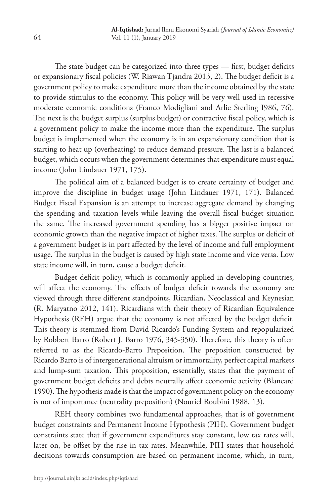The state budget can be categorized into three types — first, budget deficits or expansionary fiscal policies (W. Riawan Tjandra 2013, 2). The budget deficit is a government policy to make expenditure more than the income obtained by the state to provide stimulus to the economy. This policy will be very well used in recessive moderate economic conditions (Franco Modigliani and Arlie Sterling I986, 76). The next is the budget surplus (surplus budget) or contractive fiscal policy, which is a government policy to make the income more than the expenditure. The surplus budget is implemented when the economy is in an expansionary condition that is starting to heat up (overheating) to reduce demand pressure. The last is a balanced budget, which occurs when the government determines that expenditure must equal income (John Lindauer 1971, 175).

The political aim of a balanced budget is to create certainty of budget and improve the discipline in budget usage (John Lindauer 1971, 171). Balanced Budget Fiscal Expansion is an attempt to increase aggregate demand by changing the spending and taxation levels while leaving the overall fiscal budget situation the same. The increased government spending has a bigger positive impact on economic growth than the negative impact of higher taxes. The surplus or deficit of a government budget is in part affected by the level of income and full employment usage. The surplus in the budget is caused by high state income and vice versa. Low state income will, in turn, cause a budget deficit.

Budget deficit policy, which is commonly applied in developing countries, will affect the economy. The effects of budget deficit towards the economy are viewed through three different standpoints, Ricardian, Neoclassical and Keynesian (R. Maryatno 2012, 141). Ricardians with their theory of Ricardian Equivalence Hypothesis (REH) argue that the economy is not affected by the budget deficit. This theory is stemmed from David Ricardo's Funding System and repopularized by Robbert Barro (Robert J. Barro 1976, 345-350). Therefore, this theory is often referred to as the Ricardo-Barro Preposition. The preposition constructed by Ricardo Barro is of intergenerational altruism or immortality, perfect capital markets and lump-sum taxation. This proposition, essentially, states that the payment of government budget deficits and debts neutrally affect economic activity (Blancard 1990). The hypothesis made is that the impact of government policy on the economy is not of importance (neutrality preposition) (Nouriel Roubini 1988, 13).

REH theory combines two fundamental approaches, that is of government budget constraints and Permanent Income Hypothesis (PIH). Government budget constraints state that if government expenditures stay constant, low tax rates will, later on, be offset by the rise in tax rates. Meanwhile, PIH states that household decisions towards consumption are based on permanent income, which, in turn,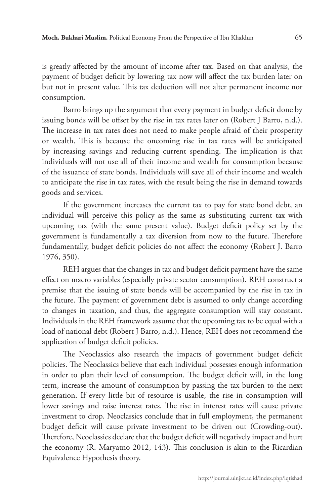is greatly affected by the amount of income after tax. Based on that analysis, the payment of budget deficit by lowering tax now will affect the tax burden later on but not in present value. This tax deduction will not alter permanent income nor consumption.

Barro brings up the argument that every payment in budget deficit done by issuing bonds will be offset by the rise in tax rates later on (Robert J Barro, n.d.). The increase in tax rates does not need to make people afraid of their prosperity or wealth. This is because the oncoming rise in tax rates will be anticipated by increasing savings and reducing current spending. The implication is that individuals will not use all of their income and wealth for consumption because of the issuance of state bonds. Individuals will save all of their income and wealth to anticipate the rise in tax rates, with the result being the rise in demand towards goods and services.

If the government increases the current tax to pay for state bond debt, an individual will perceive this policy as the same as substituting current tax with upcoming tax (with the same present value). Budget deficit policy set by the government is fundamentally a tax diversion from now to the future. Therefore fundamentally, budget deficit policies do not affect the economy (Robert J. Barro 1976, 350).

REH argues that the changes in tax and budget deficit payment have the same effect on macro variables (especially private sector consumption). REH construct a premise that the issuing of state bonds will be accompanied by the rise in tax in the future. The payment of government debt is assumed to only change according to changes in taxation, and thus, the aggregate consumption will stay constant. Individuals in the REH framework assume that the upcoming tax to be equal with a load of national debt (Robert J Barro, n.d.). Hence, REH does not recommend the application of budget deficit policies.

The Neoclassics also research the impacts of government budget deficit policies. The Neoclassics believe that each individual possesses enough information in order to plan their level of consumption. The budget deficit will, in the long term, increase the amount of consumption by passing the tax burden to the next generation. If every little bit of resource is usable, the rise in consumption will lower savings and raise interest rates. The rise in interest rates will cause private investment to drop. Neoclassics conclude that in full employment, the permanent budget deficit will cause private investment to be driven out (Crowding-out). Therefore, Neoclassics declare that the budget deficit will negatively impact and hurt the economy (R. Maryatno 2012, 143). This conclusion is akin to the Ricardian Equivalence Hypothesis theory.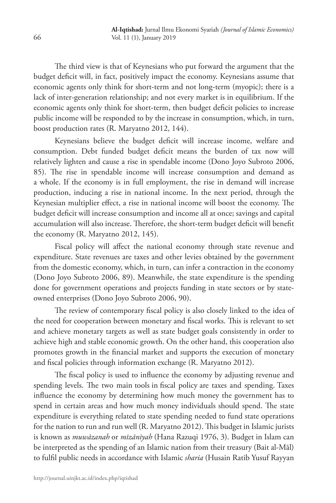The third view is that of Keynesians who put forward the argument that the budget deficit will, in fact, positively impact the economy. Keynesians assume that economic agents only think for short-term and not long-term (myopic); there is a lack of inter-generation relationship; and not every market is in equilibrium. If the economic agents only think for short-term, then budget deficit policies to increase public income will be responded to by the increase in consumption, which, in turn, boost production rates (R. Maryatno 2012, 144).

Keynesians believe the budget deficit will increase income, welfare and consumption. Debt funded budget deficit means the burden of tax now will relatively lighten and cause a rise in spendable income (Dono Joyo Subroto 2006, 85). The rise in spendable income will increase consumption and demand as a whole. If the economy is in full employment, the rise in demand will increase production, inducing a rise in national income. In the next period, through the Keynesian multiplier effect, a rise in national income will boost the economy. The budget deficit will increase consumption and income all at once; savings and capital accumulation will also increase. Therefore, the short-term budget deficit will benefit the economy (R. Maryatno 2012, 145).

Fiscal policy will affect the national economy through state revenue and expenditure. State revenues are taxes and other levies obtained by the government from the domestic economy, which, in turn, can infer a contraction in the economy (Dono Joyo Subroto 2006, 89). Meanwhile, the state expenditure is the spending done for government operations and projects funding in state sectors or by stateowned enterprises (Dono Joyo Subroto 2006, 90).

The review of contemporary fiscal policy is also closely linked to the idea of the need for cooperation between monetary and fiscal works. This is relevant to set and achieve monetary targets as well as state budget goals consistently in order to achieve high and stable economic growth. On the other hand, this cooperation also promotes growth in the financial market and supports the execution of monetary and fiscal policies through information exchange (R. Maryatno 2012).

The fiscal policy is used to influence the economy by adjusting revenue and spending levels. The two main tools in fiscal policy are taxes and spending. Taxes influence the economy by determining how much money the government has to spend in certain areas and how much money individuals should spend. The state expenditure is everything related to state spending needed to fund state operations for the nation to run and run well (R. Maryatno 2012). This budget in Islamic jurists is known as *muwāzanah* or *mīzānīyah* (Hana Razuqi 1976, 3). Budget in Islam can be interpreted as the spending of an Islamic nation from their treasury (Bait al-Māl) to fulfil public needs in accordance with Islamic *sharia* (Husain Ratib Yusuf Rayyan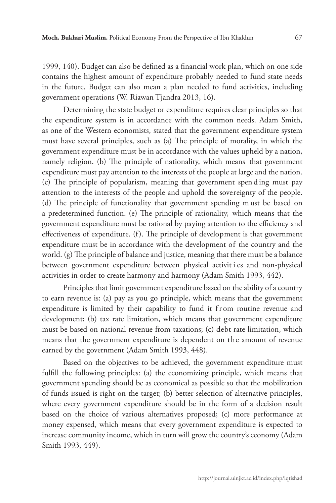1999, 140). Budget can also be defined as a financial work plan, which on one side contains the highest amount of expenditure probably needed to fund state needs in the future. Budget can also mean a plan needed to fund activities, including government operations (W. Riawan Tjandra 2013, 16).

Determining the state budget or expenditure requires clear principles so that the expenditure system is in accordance with the common needs. Adam Smith, as one of the Western economists, stated that the government expenditure system must have several principles, such as (a) The principle of morality, in which the government expenditure must be in accordance with the values upheld by a nation, namely religion. (b) The principle of nationality, which means that government expenditure must pay attention to the interests of the people at large and the nation. (c) The principle of popularism, meaning that government spen d ing must pay attention to the interests of the people and uphold the sovereignty of the people. (d) The principle of functionality that government spending m ust be based on a predetermined function. (e) The principle of rationality, which means that the government expenditure must be rational by paying attention to the efficiency and effectiveness of expenditure. (f). The principle of development is that government expenditure must be in accordance with the development of the country and the world. (g) The principle of balance and justice, meaning that there must be a balance between government expenditure between physical activit i es and non-physical activities in order to create harmony and harmony (Adam Smith 1993, 442).

Principles that limit government expenditure based on the ability of a country to earn revenue is: (a) pay as you go principle, which means that the government expenditure is limited by their capability to fund it from routine revenue and development; (b) tax rate limitation, which means that government expenditure must be based on national revenue from taxations; (c) debt rate limitation, which means that the government expenditure is dependent on the amount of revenue earned by the government (Adam Smith 1993, 448).

Based on the objectives to be achieved, the government expenditure must fulfill the following principles: (a) the economizing principle, which means that government spending should be as economical as possible so that the mobilization of funds issued is right on the target; (b) better selection of alternative principles, where every government expenditure should be in the form of a decision result based on the choice of various alternatives proposed; (c) more performance at money expensed, which means that every government expenditure is expected to increase community income, which in turn will grow the country's economy (Adam Smith 1993, 449).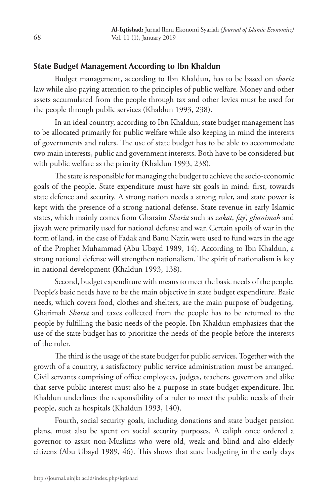# **State Budget Management According to Ibn Khaldun**

Budget management, according to Ibn Khaldun, has to be based on *sharia* law while also paying attention to the principles of public welfare. Money and other assets accumulated from the people through tax and other levies must be used for the people through public services (Khaldun 1993, 238).

In an ideal country, according to Ibn Khaldun, state budget management has to be allocated primarily for public welfare while also keeping in mind the interests of governments and rulers. The use of state budget has to be able to accommodate two main interests, public and government interests. Both have to be considered but with public welfare as the priority (Khaldun 1993, 238).

The state is responsible for managing the budget to achieve the socio-economic goals of the people. State expenditure must have six goals in mind: first, towards state defence and security. A strong nation needs a strong ruler, and state power is kept with the presence of a strong national defense. State revenue in early Islamic states, which mainly comes from Gharaim *Sharia* such as *zakat*, *fay'*, *ghanimah* and jizyah were primarily used for national defense and war. Certain spoils of war in the form of land, in the case of Fadak and Banu Nazir, were used to fund wars in the age of the Prophet Muhammad (Abu Ubayd 1989, 14). According to Ibn Khaldun, a strong national defense will strengthen nationalism. The spirit of nationalism is key in national development (Khaldun 1993, 138).

Second, budget expenditure with means to meet the basic needs of the people. People's basic needs have to be the main objective in state budget expenditure. Basic needs, which covers food, clothes and shelters, are the main purpose of budgeting. Gharimah *Sharia* and taxes collected from the people has to be returned to the people by fulfilling the basic needs of the people. Ibn Khaldun emphasizes that the use of the state budget has to prioritize the needs of the people before the interests of the ruler.

The third is the usage of the state budget for public services. Together with the growth of a country, a satisfactory public service administration must be arranged. Civil servants comprising of office employees, judges, teachers, governors and alike that serve public interest must also be a purpose in state budget expenditure. Ibn Khaldun underlines the responsibility of a ruler to meet the public needs of their people, such as hospitals (Khaldun 1993, 140).

Fourth, social security goals, including donations and state budget pension plans, must also be spent on social security purposes. A caliph once ordered a governor to assist non-Muslims who were old, weak and blind and also elderly citizens (Abu Ubayd 1989, 46). This shows that state budgeting in the early days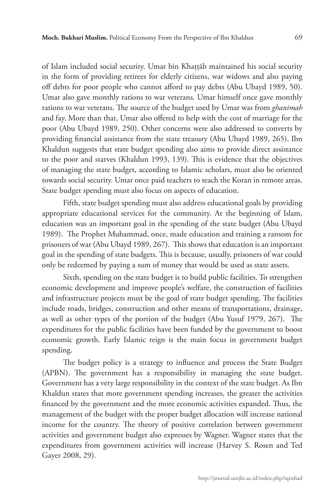of Islam included social security. Umar bin Khaṭṭāb maintained his social security in the form of providing retirees for elderly citizens, war widows and also paying off debts for poor people who cannot afford to pay debts (Abu Ubayd 1989, 50). Umar also gave monthly rations to war veterans. Umar himself once gave monthly rations to war veterans. The source of the budget used by Umar was from *ghanimah* and fay. More than that, Umar also offered to help with the cost of marriage for the poor (Abu Ubayd 1989, 250). Other concerns were also addressed to converts by providing financial assistance from the state treasury (Abu Ubayd 1989, 265). Ibn Khaldun suggests that state budget spending also aims to provide direct assistance to the poor and starves (Khaldun 1993, 139). This is evidence that the objectives of managing the state budget, according to Islamic scholars, must also be oriented towards social security. Umar once paid teachers to teach the Koran in remote areas. State budget spending must also focus on aspects of education.

Fifth, state budget spending must also address educational goals by providing appropriate educational services for the community. At the beginning of Islam, education was an important goal in the spending of the state budget (Abu Ubayd 1989). The Prophet Muhammad, once, made education and training a ransom for prisoners of war (Abu Ubayd 1989, 267). This shows that education is an important goal in the spending of state budgets. This is because, usually, prisoners of war could only be redeemed by paying a sum of money that would be used as state assets.

Sixth, spending on the state budget is to build public facilities. To strengthen economic development and improve people's welfare, the construction of facilities and infrastructure projects must be the goal of state budget spending. The facilities include roads, bridges, construction and other means of transportations, drainage, as well as other types of the portion of the budget (Abu Yusuf 1979, 267). The expenditures for the public facilities have been funded by the government to boost economic growth. Early Islamic reign is the main focus in government budget spending.

The budget policy is a strategy to influence and process the State Budget (APBN). The government has a responsibility in managing the state budget. Government has a very large responsibility in the context of the state budget. As Ibn Khaldun states that more government spending increases, the greater the activities financed by the government and the more economic activities expanded. Thus, the management of the budget with the proper budget allocation will increase national income for the country. The theory of positive correlation between government activities and government budget also expresses by Wagner. Wagner states that the expenditures from government activities will increase (Harvey S. Rosen and Ted Gayer 2008, 29).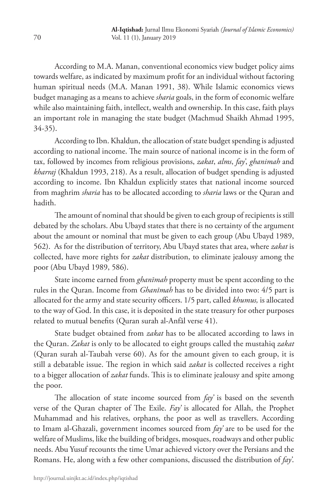According to M.A. Manan, conventional economics view budget policy aims towards welfare, as indicated by maximum profit for an individual without factoring human spiritual needs (M.A. Manan 1991, 38). While Islamic economics views budget managing as a means to achieve *sharia* goals, in the form of economic welfare while also maintaining faith, intellect, wealth and ownership. In this case, faith plays an important role in managing the state budget (Machmud Shaikh Ahmad 1995, 34-35).

According to Ibn. Khaldun, the allocation of state budget spending is adjusted according to national income. The main source of national income is in the form of tax, followed by incomes from religious provisions, *zakat*, *alms*, *fay'*, *ghanimah* and *kharraj* (Khaldun 1993, 218). As a result, allocation of budget spending is adjusted according to income. Ibn Khaldun explicitly states that national income sourced from maghrim *sharia* has to be allocated according to *sharia* laws or the Quran and hadith.

The amount of nominal that should be given to each group of recipients is still debated by the scholars. Abu Ubayd states that there is no certainty of the argument about the amount or nominal that must be given to each group (Abu Ubayd 1989, 562). As for the distribution of territory, Abu Ubayd states that area, where *zakat* is collected, have more rights for *zakat* distribution, to eliminate jealousy among the poor (Abu Ubayd 1989, 586).

State income earned from *ghanīmah* property must be spent according to the rules in the Quran. Income from *Ghanīmah* has to be divided into two: 4/5 part is allocated for the army and state security officers. 1/5 part, called *khumus,* is allocated to the way of God. In this case, it is deposited in the state treasury for other purposes related to mutual benefits (Quran surah al-Anfāl verse 41).

State budget obtained from *zakat* has to be allocated according to laws in the Quran. *Zakat* is only to be allocated to eight groups called the mustahiq *zakat* (Quran surah al-Taubah verse 60). As for the amount given to each group, it is still a debatable issue. The region in which said *zakat* is collected receives a right to a bigger allocation of *zakat* funds. This is to eliminate jealousy and spite among the poor.

The allocation of state income sourced from *fay'* is based on the seventh verse of the Quran chapter of The Exile. *Fay'* is allocated for Allah, the Prophet Muhammad and his relatives, orphans, the poor as well as travellers. According to Imam al-Ghazali, government incomes sourced from *fay'* are to be used for the welfare of Muslims, like the building of bridges, mosques, roadways and other public needs. Abu Yusuf recounts the time Umar achieved victory over the Persians and the Romans. He, along with a few other companions, discussed the distribution of *fay'*.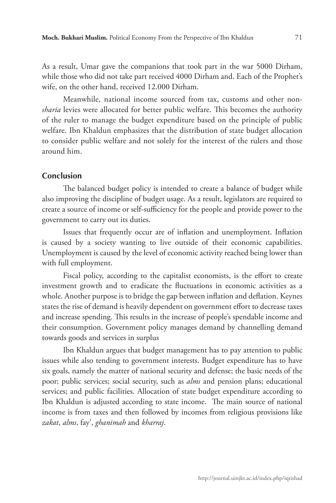As a result, Umar gave the companions that took part in the war 5000 Dirham, while those who did not take part received 4000 Dirham and. Each of the Prophet's wife, on the other hand, received 12.000 Dirham.

Meanwhile, national income sourced from tax, customs and other non*sharia* levies were allocated for better public welfare. This becomes the authority of the ruler to manage the budget expenditure based on the principle of public welfare. Ibn Khaldun emphasizes that the distribution of state budget allocation to consider public welfare and not solely for the interest of the rulers and those around him.

## **Conclusion**

The balanced budget policy is intended to create a balance of budget while also improving the discipline of budget usage. As a result, legislators are required to create a source of income or self-sufficiency for the people and provide power to the government to carry out its duties.

Issues that frequently occur are of inflation and unemployment. Inflation is caused by a society wanting to live outside of their economic capabilities. Unemployment is caused by the level of economic activity reached being lower than with full employment.

Fiscal policy, according to the capitalist economists, is the effort to create investment growth and to eradicate the fluctuations in economic activities as a whole. Another purpose is to bridge the gap between inflation and deflation. Keynes states the rise of demand is heavily dependent on government effort to decrease taxes and increase spending. This results in the increase of people's spendable income and their consumption. Government policy manages demand by channelling demand towards goods and services in surplus

Ibn Khaldun argues that budget management has to pay attention to public issues while also tending to government interests. Budget expenditure has to have six goals, namely the matter of national security and defense; the basic needs of the poor; public services; social security, such as *alms* and pension plans; educational services; and public facilities. Allocation of state budget expenditure according to Ibn Khaldun is adjusted according to state income. The main source of national income is from taxes and then followed by incomes from religious provisions like *zakat*, *alms*, fay', *ghanimah* and *kharraj*.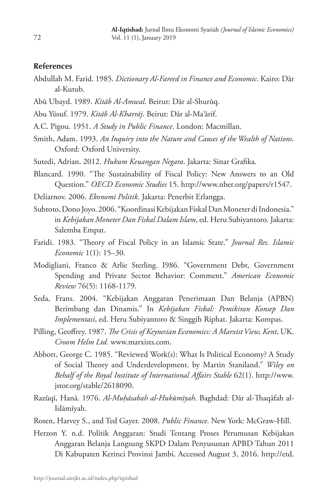#### **References**

- Abdullah M. Farid. 1985. *Dictionary Al-Fareed in Finance and Economic*. Kairo: Dār al-Kutub.
- Abū Ubayd. 1989. *Kitāb Al-Amwal*. Beirut: Dār al-Shurūq.
- Abu Yūsuf. 1979. *Kitāb Al-Kharrāj*. Beirut: Dār al-Ma'ārif.
- A.C. Pigou. 1951. *A Study in Public Finance*. London: Macmillan.
- Smith, Adam. 1993. *An Inquiry into the Nature and Causes of the Wealth of Nations*. Oxford: Oxford University.
- Sutedi, Adrian. 2012. *Hukum Keuangan Negara*. Jakarta: Sinar Grafika.
- Blancard. 1990. "The Sustainability of Fiscal Policy: New Answers to an Old Question." *OECD Economic Studies* 15. http://www.nber.org/papers/r1547.
- Deliarnov. 2006. *Ekonomi Politik*. Jakarta: Penerbit Erlangga.
- Subroto, Dono Joyo. 2006. "Koordinasi Kebijakan Fiskal Dan Moneter di Indonesia." in *Kebijakan Moneter Dan Fiskal Dalam Islam*, ed. Heru Subiyantoro. Jakarta: Salemba Empat.
- Faridi. 1983. "Theory of Fiscal Policy in an Islamic State." *Journal Res. Islamic Economic* 1(1): 15–30.
- Modigliani, Franco & Arlie Sterling. I986. "Government Debt, Government Spending and Private Sector Behavior: Comment." *American Economic Review* 76(5): 1168-1179.
- Seda, Frans. 2004. "Kebijakan Anggaran Penerimaan Dan Belanja (APBN) Berimbang dan Dinamis." In *Kebijakan Fiskal: Pemikiran Konsep Dan Implementasi*, ed. Heru Subiyantoro & Singgih Riphat. Jakarta: Kompas.
- Pilling, Geoffrey. 1987. *The Crisis of Keynesian Economics: A Marxist View, Kent*, UK. *Croom Helm Ltd.* www.marxists.com.
- Abbott, George C. 1985. "Reviewed Work(s): What Is Political Economy? A Study of Social Theory and Underdevelopment. by Martin Staniland." *Wiley on Behalf of the Royal Institute of International Affairs Stable* 62(1). http://www. jstor.org/stable/2618090.
- Razūqī, Hanā. 1976. *Al-Muḥāsabah al-Hukūmīyah*. Baghdad: Dār al-Thaqāfah al-Islāmīyah.
- Rosen, Harvey S., and Ted Gayer. 2008. *Public Finance*. New York: McGraw-Hill.
- Herzon Y. n.d. Politik Anggaran: Studi Tentang Proses Perumusan Kebijakan Anggaran Belanja Langsung SKPD Dalam Penyusunan APBD Tahun 2011 Di Kabupaten Kerinci Provinsi Jambi. Accessed August 3, 2016. http://etd.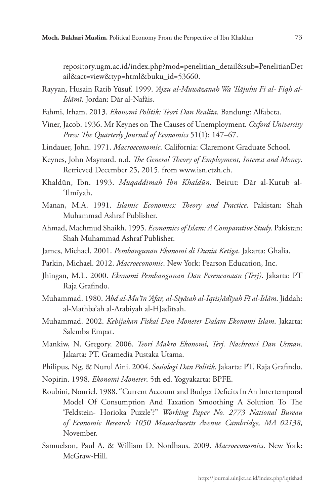repository.ugm.ac.id/index.php?mod=penelitian\_detail&sub=PenelitianDet ail&act=view&typ=html&buku\_id=53660.

- Rayyan, Husain Ratib Yūsuf. 1999. *'Ajzu al-Muwāzanah Wa 'Ilājuhu Fi al- Fiqh al-Islāmī*. Jordan: Dār al-Nafāis.
- Fahmi, Irham. 2013. *Ekonomi Politik: Teori Dan Realita*. Bandung: Alfabeta.
- Viner, Jacob. 1936. Mr Keynes on The Causes of Unemployment. *Oxford University Press: The Quarterly Journal of Economics* 51(1): 147–67.
- Lindauer, John. 1971. *Macroeconomic*. California: Claremont Graduate School.
- Keynes, John Maynard. n.d. *The General Theory of Employment, Interest and Money*. Retrieved December 25, 2015. from www.isn.etzh.ch.
- Khaldūn, Ibn. 1993. *Muqaddimah Ibn Khaldūn*. Beirut: Dār al-Kutub al- 'Ilmīyah.
- Manan, M.A. 1991. *Islamic Economics: Theory and Practice*. Pakistan: Shah Muhammad Ashraf Publisher.
- Ahmad, Machmud Shaikh. 1995. *Economics of Islam: A Comparative Study*. Pakistan: Shah Muhammad Ashraf Publisher.
- James, Michael. 2001. *Pembangunan Ekonomi di Dunia Ketiga*. Jakarta: Ghalia.
- Parkin, Michael. 2012. *Macroeconomic*. New York: Pearson Education, Inc.
- Jhingan, M.L. 2000. *Ekonomi Pembangunan Dan Perencanaan (Terj)*. Jakarta: PT Raja Grafindo.
- Muhammad. 1980. *'Abd al-Mu'īn 'Afar, al-Siyāsah al-Iqtis}ādīyah Fī al-Islām*. Jiddah: al-Mathba'ah al-Arabiyah al-H}adītsah.
- Muhammad. 2002. *Kebijakan Fiskal Dan Moneter Dalam Ekonomi Islam*. Jakarta: Salemba Empat.
- Mankiw, N. Gregory. 2006. *Teori Makro Ekonomi, Terj. Nachrowi Dan Usman*. Jakarta: PT. Gramedia Pustaka Utama.
- Philipus, Ng. & Nurul Aini. 2004. *Sosiologi Dan Politik*. Jakarta: PT. Raja Grafindo.
- Nopirin. 1998. *Ekonomi Moneter*. 5th ed. Yogyakarta: BPFE.
- Roubini, Nouriel. 1988. "Current Account and Budget Deficits In An Intertemporal Model Of Consumption And Taxation Smoothing A Solution To The 'Feldstein- Horioka Puzzle'?" *Working Paper No. 2773 National Bureau of Economic Research 1050 Massachusetts Avenue Cambridge, MA 02138*, November.
- Samuelson, Paul A. & William D. Nordhaus. 2009. *Macroeconomics*. New York: McGraw-Hill.